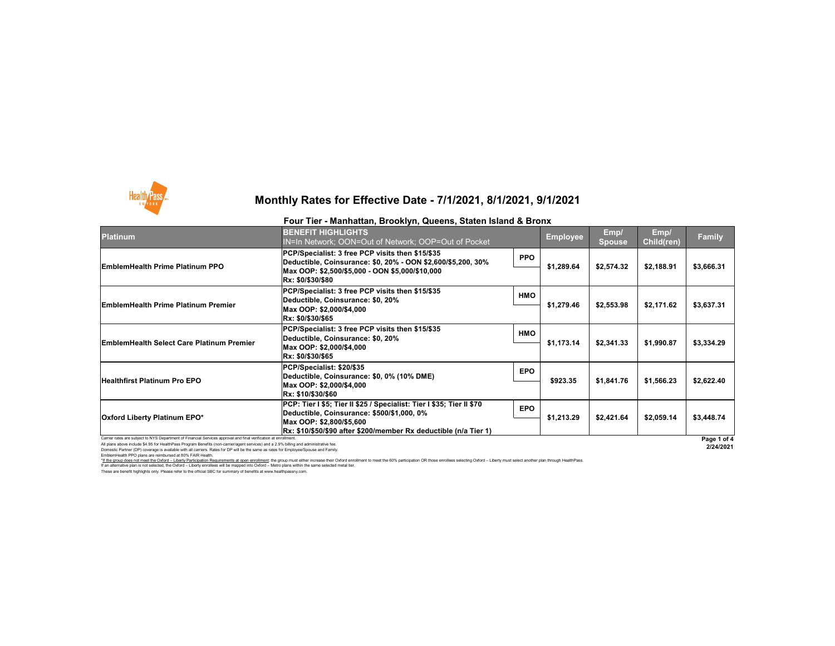Carrier rates are subject to NYS Department of Financial Services approval and final verification at enrollment. All plans above include \$4.95 for HealthPass Program Benefits (non-carrier/agent services) and a 2.9% billing and administrative fee. Domestic Partner (DP) coverage is available with all carriers. Rates for DP will be the same as rates for Employee/Spouse and Family.

EmblemHealth PPO plans are reimbursed at 80% FAIR Health.

I hese are benefit highlights only. Please refer to the official SBC for summary of benefits at www.healthpassny.com. \*If the group does not meet the Oxford - Liberty Participation Requirements at open enrollment: the group must either increase their Oxford enrollment to meet the 60% participation OR those enrollees selecting Oxford - Lib If an alternative plan is not selected, the Oxford – Liberty enrollees will be mapped into Oxford – Metro plans within the same selected metal tier.



# **Monthly Rates for Effective Date - 7/1/2021, 8/1/2021, 9/1/2021**

|                                                                                                                | Four Tier - Manhattan, Brooklyn, Queens, Staten Island & Bronx                                                             |            |                          |                       |                    |                 |  |  |
|----------------------------------------------------------------------------------------------------------------|----------------------------------------------------------------------------------------------------------------------------|------------|--------------------------|-----------------------|--------------------|-----------------|--|--|
| <b>Platinum</b>                                                                                                | <b>BENEFIT HIGHLIGHTS</b><br>IN=In Network; OON=Out of Network; OOP=Out of Pocket                                          |            | <b>Employee</b>          | Emp/<br><b>Spouse</b> | Emp/<br>Child(ren) | <b>Family</b>   |  |  |
| <b>EmblemHealth Prime Platinum PPO</b>                                                                         | PCP/Specialist: 3 free PCP visits then \$15/\$35<br> Deductible, Coinsurance: \$0, 20% - OON \$2,600/\$5,200, 30%          | <b>PPO</b> | \$2,574.32<br>\$1,289.64 | \$2,188.91            | \$3,666.31         |                 |  |  |
|                                                                                                                | Max OOP: \$2,500/\$5,000 - OON \$5,000/\$10,000<br><b>Rx: \$0/\$30/\$80</b>                                                |            |                          |                       |                    |                 |  |  |
|                                                                                                                | PCP/Specialist: 3 free PCP visits then \$15/\$35<br>Deductible, Coinsurance: \$0, 20%                                      | <b>HMO</b> |                          |                       |                    |                 |  |  |
| <b>EmblemHealth Prime Platinum Premier</b>                                                                     | Max OOP: \$2,000/\$4,000<br>Rx: \$0/\$30/\$65                                                                              |            | \$1,279.46               | \$2,553.98            | \$2,171.62         | \$3,637.31      |  |  |
|                                                                                                                | PCP/Specialist: 3 free PCP visits then \$15/\$35<br>Deductible, Coinsurance: \$0, 20%                                      | <b>HMO</b> | \$2,341.33<br>\$1,173.14 |                       |                    |                 |  |  |
| <b>EmblemHealth Select Care Platinum Premier</b>                                                               | Max OOP: \$2,000/\$4,000<br>Rx: \$0/\$30/\$65                                                                              |            |                          |                       | \$1,990.87         | \$3,334.29      |  |  |
| <b>Healthfirst Platinum Pro EPO</b>                                                                            | PCP/Specialist: \$20/\$35<br>Deductible, Coinsurance: \$0, 0% (10% DME)                                                    | <b>EPO</b> |                          |                       |                    |                 |  |  |
|                                                                                                                | Max OOP: \$2,000/\$4,000<br><b>Rx: \$10/\$30/\$60</b>                                                                      |            | \$923.35                 | \$1,841.76            | \$1,566.23         | \$2,622.40      |  |  |
| <b>Oxford Liberty Platinum EPO*</b>                                                                            | PCP: Tier I \$5; Tier II \$25 / Specialist: Tier I \$35; Tier II \$70<br><b>Deductible, Coinsurance: \$500/\$1,000, 0%</b> | <b>EPO</b> |                          |                       |                    |                 |  |  |
|                                                                                                                | Max OOP: \$2,800/\$5,600<br> Rx: \$10/\$50/\$90 after \$200/member Rx deductible (n/a Tier 1)                              |            | \$1,213.29               | \$2,421.64            | \$2,059.14         | \$3,448.74      |  |  |
| Carrier rates are subject to NVS Department of Financial Services approval and final verification at enrollmer |                                                                                                                            |            |                          |                       |                    | <b>Decision</b> |  |  |

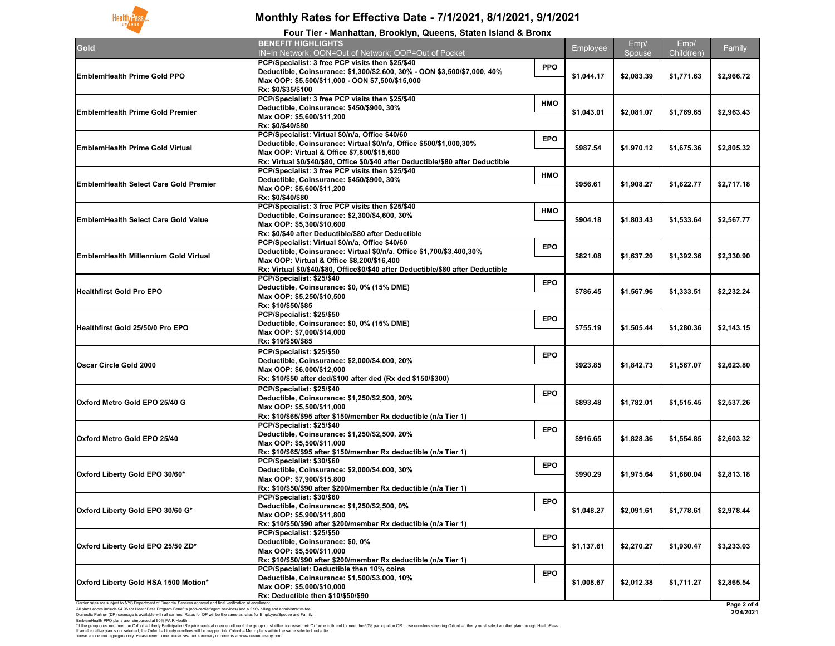Domestic Partner (DP) coverage is available with all carriers. Rates for DP will be the same as rates for Employee/Spouse and Family.



# **Monthly Rates for Effective Date - 7/1/2021, 8/1/2021, 9/1/2021**

|                                                                                                                                                                                                                                                            | Four Tier - Manhattan, Brooklyn, Queens, Staten Island & Bronx                                                               |            |            |            |            |             |
|------------------------------------------------------------------------------------------------------------------------------------------------------------------------------------------------------------------------------------------------------------|------------------------------------------------------------------------------------------------------------------------------|------------|------------|------------|------------|-------------|
| <b>Gold</b>                                                                                                                                                                                                                                                | <b>BENEFIT HIGHLIGHTS</b>                                                                                                    |            | Employee   | Emp/       | Emp/       | Family      |
|                                                                                                                                                                                                                                                            | IN=In Network; OON=Out of Network; OOP=Out of Pocket                                                                         |            |            | Spouse     | Child(ren) |             |
|                                                                                                                                                                                                                                                            | PCP/Specialist: 3 free PCP visits then \$25/\$40                                                                             | <b>PPO</b> |            |            |            |             |
| <b>EmblemHealth Prime Gold PPO</b>                                                                                                                                                                                                                         | Deductible, Coinsurance: \$1,300/\$2,600, 30% - OON \$3,500/\$7,000, 40%<br>Max OOP: \$5,500/\$11,000 - OON \$7,500/\$15,000 |            | \$1,044.17 | \$2,083.39 | \$1,771.63 | \$2,966.72  |
|                                                                                                                                                                                                                                                            | Rx: \$0/\$35/\$100                                                                                                           |            |            |            |            |             |
|                                                                                                                                                                                                                                                            | PCP/Specialist: 3 free PCP visits then \$25/\$40                                                                             |            |            |            |            |             |
|                                                                                                                                                                                                                                                            | Deductible, Coinsurance: \$450/\$900, 30%                                                                                    | <b>HMO</b> |            |            |            |             |
| <b>EmblemHealth Prime Gold Premier</b>                                                                                                                                                                                                                     | Max OOP: \$5,600/\$11,200                                                                                                    |            | \$1,043.01 | \$2,081.07 | \$1,769.65 | \$2,963.43  |
|                                                                                                                                                                                                                                                            | Rx: \$0/\$40/\$80                                                                                                            |            |            |            |            |             |
|                                                                                                                                                                                                                                                            | PCP/Specialist: Virtual \$0/n/a, Office \$40/60                                                                              | <b>EPO</b> |            |            |            |             |
| <b>EmblemHealth Prime Gold Virtual</b>                                                                                                                                                                                                                     | Deductible, Coinsurance: Virtual \$0/n/a, Office \$500/\$1,000,30%<br>Max OOP: Virtual & Office \$7,800/\$15,600             |            | \$987.54   | \$1,970.12 | \$1,675.36 | \$2,805.32  |
|                                                                                                                                                                                                                                                            | Rx: Virtual \$0/\$40/\$80, Office \$0/\$40 after Deductible/\$80 after Deductible                                            |            |            |            |            |             |
|                                                                                                                                                                                                                                                            | PCP/Specialist: 3 free PCP visits then \$25/\$40                                                                             |            |            |            |            |             |
| <b>EmblemHealth Select Care Gold Premier</b>                                                                                                                                                                                                               | Deductible, Coinsurance: \$450/\$900, 30%                                                                                    | <b>HMO</b> |            |            |            |             |
|                                                                                                                                                                                                                                                            | Max OOP: \$5,600/\$11,200                                                                                                    |            | \$956.61   | \$1,908.27 | \$1,622.77 | \$2,717.18  |
|                                                                                                                                                                                                                                                            | Rx: \$0/\$40/\$80                                                                                                            |            |            |            |            |             |
|                                                                                                                                                                                                                                                            | PCP/Specialist: 3 free PCP visits then \$25/\$40                                                                             | <b>HMO</b> |            |            |            |             |
| <b>EmblemHealth Select Care Gold Value</b>                                                                                                                                                                                                                 | Deductible, Coinsurance: \$2,300/\$4,600, 30%                                                                                |            | \$904.18   | \$1,803.43 | \$1,533.64 | \$2,567.77  |
|                                                                                                                                                                                                                                                            | Max OOP: \$5,300/\$10,600<br>Rx: \$0/\$40 after Deductible/\$80 after Deductible                                             |            |            |            |            |             |
|                                                                                                                                                                                                                                                            | PCP/Specialist: Virtual \$0/n/a, Office \$40/60                                                                              |            |            |            |            |             |
|                                                                                                                                                                                                                                                            | Deductible, Coinsurance: Virtual \$0/n/a, Office \$1,700/\$3,400,30%                                                         | <b>EPO</b> |            |            |            |             |
| <b>EmblemHealth Millennium Gold Virtual</b>                                                                                                                                                                                                                | Max OOP: Virtual & Office \$8,200/\$16,400                                                                                   |            | \$821.08   | \$1,637.20 | \$1,392.36 | \$2,330.90  |
|                                                                                                                                                                                                                                                            | Rx: Virtual \$0/\$40/\$80, Office\$0/\$40 after Deductible/\$80 after Deductible                                             |            |            |            |            |             |
|                                                                                                                                                                                                                                                            | PCP/Specialist: \$25/\$40                                                                                                    | <b>EPO</b> |            |            |            |             |
| <b>Healthfirst Gold Pro EPO</b>                                                                                                                                                                                                                            | Deductible, Coinsurance: \$0, 0% (15% DME)<br>Max OOP: \$5,250/\$10,500                                                      |            | \$786.45   | \$1,567.96 | \$1,333.51 | \$2,232.24  |
|                                                                                                                                                                                                                                                            | Rx: \$10/\$50/\$85                                                                                                           |            |            |            |            |             |
|                                                                                                                                                                                                                                                            | PCP/Specialist: \$25/\$50                                                                                                    |            |            |            |            |             |
| <b>Healthfirst Gold 25/50/0 Pro EPO</b>                                                                                                                                                                                                                    | Deductible, Coinsurance: \$0, 0% (15% DME)                                                                                   | <b>EPO</b> | \$755.19   | \$1,505.44 | \$1,280.36 | \$2,143.15  |
|                                                                                                                                                                                                                                                            | Max OOP: \$7,000/\$14,000                                                                                                    |            |            |            |            |             |
|                                                                                                                                                                                                                                                            | Rx: \$10/\$50/\$85                                                                                                           |            |            |            |            |             |
|                                                                                                                                                                                                                                                            | PCP/Specialist: \$25/\$50                                                                                                    | <b>EPO</b> |            |            |            |             |
| <b>Oscar Circle Gold 2000</b>                                                                                                                                                                                                                              | Deductible, Coinsurance: \$2,000/\$4,000, 20%                                                                                |            | \$923.85   | \$1,842.73 | \$1,567.07 | \$2,623.80  |
|                                                                                                                                                                                                                                                            | Max OOP: \$6,000/\$12,000<br>Rx: \$10/\$50 after ded/\$100 after ded (Rx ded \$150/\$300)                                    |            |            |            |            |             |
|                                                                                                                                                                                                                                                            | PCP/Specialist: \$25/\$40                                                                                                    |            |            |            |            |             |
|                                                                                                                                                                                                                                                            | Deductible, Coinsurance: \$1,250/\$2,500, 20%                                                                                | <b>EPO</b> |            |            |            |             |
| Oxford Metro Gold EPO 25/40 G                                                                                                                                                                                                                              | Max OOP: \$5,500/\$11,000                                                                                                    |            | \$893.48   | \$1,782.01 | \$1,515.45 | \$2,537.26  |
|                                                                                                                                                                                                                                                            | Rx: \$10/\$65/\$95 after \$150/member Rx deductible (n/a Tier 1)                                                             |            |            |            |            |             |
|                                                                                                                                                                                                                                                            | PCP/Specialist: \$25/\$40                                                                                                    | <b>EPO</b> |            |            |            |             |
| <b>Oxford Metro Gold EPO 25/40</b>                                                                                                                                                                                                                         | Deductible, Coinsurance: \$1,250/\$2,500, 20%                                                                                |            | \$916.65   | \$1,828.36 | \$1,554.85 | \$2,603.32  |
|                                                                                                                                                                                                                                                            | Max OOP: \$5,500/\$11,000<br>Rx: \$10/\$65/\$95 after \$150/member Rx deductible (n/a Tier 1)                                |            |            |            |            |             |
|                                                                                                                                                                                                                                                            | PCP/Specialist: \$30/\$60                                                                                                    |            |            |            |            |             |
|                                                                                                                                                                                                                                                            | Deductible, Coinsurance: \$2,000/\$4,000, 30%                                                                                | <b>EPO</b> |            |            |            |             |
| Oxford Liberty Gold EPO 30/60*                                                                                                                                                                                                                             | Max OOP: \$7,900/\$15,800                                                                                                    |            | \$990.29   | \$1,975.64 | \$1,680.04 | \$2,813.18  |
|                                                                                                                                                                                                                                                            | Rx: \$10/\$50/\$90 after \$200/member Rx deductible (n/a Tier 1)                                                             |            |            |            |            |             |
| Oxford Liberty Gold EPO 30/60 G*                                                                                                                                                                                                                           | PCP/Specialist: \$30/\$60                                                                                                    | <b>EPO</b> |            |            |            |             |
|                                                                                                                                                                                                                                                            | Deductible, Coinsurance: \$1,250/\$2,500, 0%<br>Max OOP: \$5,900/\$11,800                                                    |            | \$1,048.27 | \$2,091.61 | \$1,778.61 | \$2,978.44  |
|                                                                                                                                                                                                                                                            | Rx: \$10/\$50/\$90 after \$200/member Rx deductible (n/a Tier 1)                                                             |            |            |            |            |             |
|                                                                                                                                                                                                                                                            | PCP/Specialist: \$25/\$50                                                                                                    |            |            |            |            |             |
|                                                                                                                                                                                                                                                            | Deductible, Coinsurance: \$0, 0%                                                                                             | <b>EPO</b> | \$1,137.61 | \$2,270.27 | \$1,930.47 | \$3,233.03  |
| Oxford Liberty Gold EPO 25/50 ZD*                                                                                                                                                                                                                          | Max OOP: \$5,500/\$11,000                                                                                                    |            |            |            |            |             |
|                                                                                                                                                                                                                                                            | Rx: \$10/\$50/\$90 after \$200/member Rx deductible (n/a Tier 1)                                                             |            |            |            |            |             |
|                                                                                                                                                                                                                                                            | PCP/Specialist: Deductible then 10% coins                                                                                    | <b>EPO</b> |            |            |            |             |
| Oxford Liberty Gold HSA 1500 Motion*                                                                                                                                                                                                                       | Deductible, Coinsurance: \$1,500/\$3,000, 10%<br>Max OOP: \$5,000/\$10,000                                                   |            | \$1,008.67 | \$2,012.38 | \$1,711.27 | \$2,865.54  |
|                                                                                                                                                                                                                                                            | Rx: Deductible then \$10/\$50/\$90                                                                                           |            |            |            |            |             |
| Carrier rates are subject to NYS Department of Financial Services approval and final verification at enrollment.<br>All plans above include \$4.95 for HealthPass Program Benefits (non-carrier/agent services) and a 2.9% billing and administrative fee. |                                                                                                                              |            |            |            |            | Page 2 of 4 |
| Domestic Partner (DP) coverage is available with all carriers. Rates for DP will be the same as rates for Employee/Spouse and Family                                                                                                                       |                                                                                                                              |            |            |            |            | 2/24/2021   |

EmblemHealth PPO plans are reimbursed at 80% FAIR Health. I hese are benefit highlights only. Please refer to the official SBC for summary of benefits at www.healthpassny.com. \*<u>If the group does not meet the Oxford – Liberty Participation Requirements at open enrollment</u>: the group must either increase their Oxford enrollment to meet the 60% participation OR those enrollees selecting Oxford – L If an alternative plan is not selected, the Oxford – Liberty enrollees will be mapped into Oxford – Metro plans within the same selected metal tier.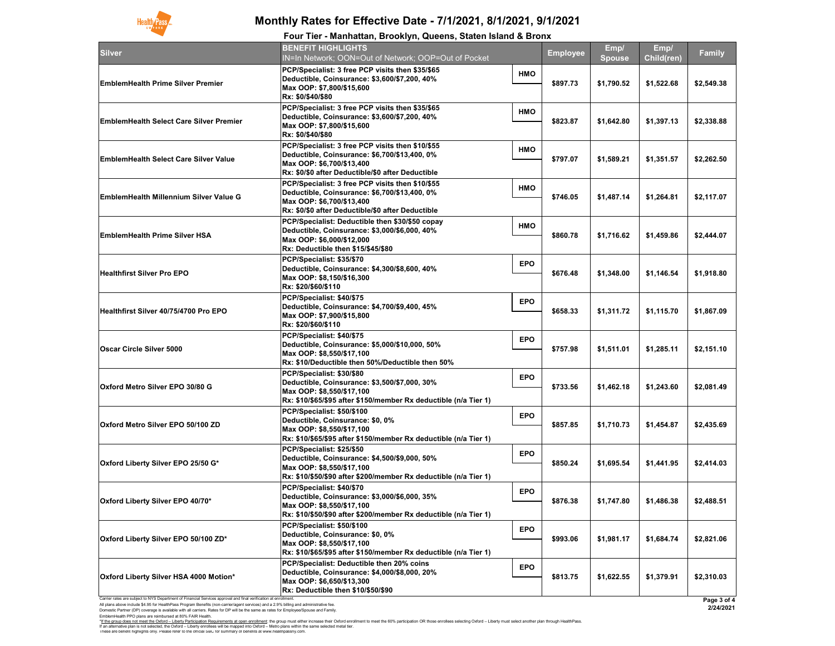Domestic Partner (DP) coverage is available with all carriers. Rates for DP will be the same as rates for Employee/Spouse and Family. EmblemHealth PPO plans are reimbursed at 80% FAIR Health.

|                                                                                                                                                                                                                                                            | FOUI TIEI - Mannauan, Drooklyn, Queens, Staten Island & Dronx                                                                                                                                |            |                 |                       |                    |                                  |
|------------------------------------------------------------------------------------------------------------------------------------------------------------------------------------------------------------------------------------------------------------|----------------------------------------------------------------------------------------------------------------------------------------------------------------------------------------------|------------|-----------------|-----------------------|--------------------|----------------------------------|
| Silver                                                                                                                                                                                                                                                     | <b>BENEFIT HIGHLIGHTS</b><br>IN=In Network; OON=Out of Network; OOP=Out of Pocket                                                                                                            |            | <b>Employee</b> | Emp/<br><b>Spouse</b> | Emp/<br>Child(ren) | <b>Family</b>                    |
| <b>EmblemHealth Prime Silver Premier</b>                                                                                                                                                                                                                   | PCP/Specialist: 3 free PCP visits then \$35/\$65<br>Deductible, Coinsurance: \$3,600/\$7,200, 40%<br>Max OOP: \$7,800/\$15,600<br> Rx: \$0/\$40/\$80                                         | <b>HMO</b> | \$897.73        | \$1,790.52            | \$1,522.68         | \$2,549.38                       |
| <b>EmblemHealth Select Care Silver Premier</b>                                                                                                                                                                                                             | PCP/Specialist: 3 free PCP visits then \$35/\$65<br>Deductible, Coinsurance: \$3,600/\$7,200, 40%<br>Max OOP: \$7,800/\$15,600 <br>Rx: \$0/\$40/\$80                                         | <b>HMO</b> | \$823.87        | \$1,642.80            | \$1,397.13         | \$2,338.88                       |
| EmblemHealth Select Care Silver Value                                                                                                                                                                                                                      | PCP/Specialist: 3 free PCP visits then \$10/\$55<br>Deductible, Coinsurance: \$6,700/\$13,400, 0%<br>Max OOP: \$6,700/\$13,400<br> Rx: \$0/\$0 after Deductible/\$0 after Deductible_        | <b>HMO</b> | \$797.07        | \$1,589.21            | \$1,351.57         | \$2,262.50                       |
| <b>EmblemHealth Millennium Silver Value G</b>                                                                                                                                                                                                              | PCP/Specialist: 3 free PCP visits then \$10/\$55<br>Deductible, Coinsurance: \$6,700/\$13,400, 0%<br>Max OOP: \$6,700/\$13,400<br>Rx: \$0/\$0 after Deductible/\$0 after Deductible          | <b>HMO</b> | \$746.05        | \$1,487.14            | \$1,264.81         | \$2,117.07                       |
| <b>EmblemHealth Prime Silver HSA</b>                                                                                                                                                                                                                       | PCP/Specialist: Deductible then \$30/\$50 copay<br>Deductible, Coinsurance: \$3,000/\$6,000, 40%<br>Max OOP: \$6,000/\$12,000<br>Rx: Deductible then \$15/\$45/\$80∣                         | <b>HMO</b> | \$860.78        | \$1,716.62            | \$1,459.86         | \$2,444.07                       |
| <b>Healthfirst Silver Pro EPO</b>                                                                                                                                                                                                                          | PCP/Specialist: \$35/\$70 <br>Deductible, Coinsurance: \$4,300/\$8,600, 40%<br>Max OOP: \$8,150/\$16,300<br> Rx: \$20/\$60/\$110                                                             | <b>EPO</b> | \$676.48        | \$1,348.00            | \$1,146.54         | \$1,918.80                       |
| Healthfirst Silver 40/75/4700 Pro EPO                                                                                                                                                                                                                      | PCP/Specialist: \$40/\$75<br>Deductible, Coinsurance: \$4,700/\$9,400, 45%<br>Max OOP: \$7,900/\$15,800 <br>Rx: \$20/\$60/\$110                                                              | <b>EPO</b> | \$658.33        | \$1,311.72            | \$1,115.70         | \$1,867.09                       |
| <b>Oscar Circle Silver 5000</b>                                                                                                                                                                                                                            | PCP/Specialist: \$40/\$75<br>Deductible, Coinsurance: \$5,000/\$10,000, 50%<br>Max OOP: \$8,550/\$17,100<br>$\mathsf{Rx}\text{: }\$10\mathsf{/Deductible}$ then 50%/Deductible then 50%      | <b>EPO</b> | \$757.98        | \$1,511.01            | \$1,285.11         | \$2,151.10                       |
| Oxford Metro Silver EPO 30/80 G                                                                                                                                                                                                                            | PCP/Specialist: \$30/\$80<br>Deductible, Coinsurance: \$3,500/\$7,000, 30%<br>Max OOP: \$8,550/\$17,100<br> Rx: \$10/\$65/\$95 after \$150/member Rx deductible (n/a Tier 1)                 | <b>EPO</b> | \$733.56        | \$1,462.18            | \$1,243.60         | \$2,081.49                       |
| <b>Oxford Metro Silver EPO 50/100 ZD</b>                                                                                                                                                                                                                   | PCP/Specialist: \$50/\$100<br>Deductible, Coinsurance: \$0, 0%<br>Max OOP: \$8,550/\$17,100<br> Rx: \$10/\$65/\$95                             after \$150/member Rx deductible (n/a Tier 1) | <b>EPO</b> | \$857.85        | \$1,710.73            | \$1,454.87         | \$2,435.69                       |
| Oxford Liberty Silver EPO 25/50 G*                                                                                                                                                                                                                         | PCP/Specialist: \$25/\$50<br>Deductible, Coinsurance: \$4,500/\$9,000, 50%<br>Max OOP: \$8,550/\$17,100<br> Rx: \$10/\$50/\$90 after \$200/member Rx deductible (n/a Tier 1)_                | <b>EPO</b> | \$850.24        | \$1,695.54            | \$1,441.95         | \$2,414.03                       |
| <b>Oxford Liberty Silver EPO 40/70*</b>                                                                                                                                                                                                                    | PCP/Specialist: \$40/\$70 <br>Deductible, Coinsurance: \$3,000/\$6,000, 35%<br>Max OOP: \$8,550/\$17,100<br>Rx: \$10/\$50/\$90 after \$200/member Rx deductible (n/a Tier 1)                 | <b>EPO</b> | \$876.38        | \$1,747.80            | \$1,486.38         | \$2,488.51                       |
| Oxford Liberty Silver EPO 50/100 ZD*                                                                                                                                                                                                                       | PCP/Specialist: \$50/\$100<br>Deductible, Coinsurance: \$0, 0%<br>Max OOP: \$8,550/\$17,100<br>Rx: \$10/\$65/\$95 after \$150/member Rx deductible (n/a Tier 1)                              | <b>EPO</b> | \$993.06        | \$1,981.17            | \$1,684.74         | \$2,821.06                       |
| <b>Oxford Liberty Silver HSA 4000 Motion*</b>                                                                                                                                                                                                              | <b>PCP/Specialist: Deductible then 20% coins</b><br>Deductible, Coinsurance: \$4,000/\$8,000, 20%<br>Max OOP: \$6,650/\$13,300<br><b>Rx: Deductible then \$10/\$50/\$90</b>                  | <b>EPO</b> | \$813.75        | \$1,622.55            | \$1,379.91         | \$2,310.03                       |
| Carrier rates are subject to NYS Department of Financial Services approval and final verification at enrollment.<br>All plans above include \$4.95 for HealthPass Program Benefits (non-carrier/agent services) and a 2.9% billing and administrative fee. |                                                                                                                                                                                              |            |                 |                       |                    | Page 3 of 4<br><b>OIO AIOOOA</b> |

These are benefit highlights only. Please refer to the official SBC for summary of benefits at www.healthpassny.com. \*<u>If the group does not meet the Oxford – Liberty Participation Requirements at open enrollment</u>: the group must either increase their Oxford enrollment to meet the 60% participation OR those enrollees selecting Oxford – L If an alternative plan is not selected, the Oxford – Liberty enrollees will be mapped into Oxford – Metro plans within the same selected metal tier.



## **Monthly Rates for Effective Date - 7/1/2021, 8/1/2021, 9/1/2021**

## **Four Tier - Manhattan, Brooklyn, Queens, Staten Island & Bronx**